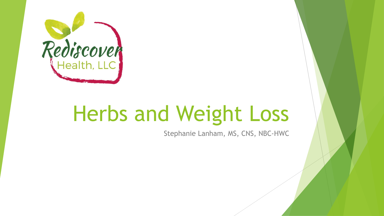

# Herbs and Weight Loss

Stephanie Lanham, MS, CNS, NBC-HWC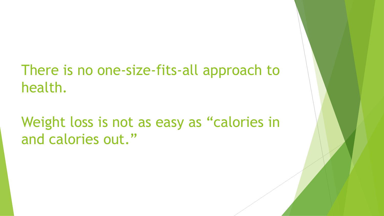#### There is no one-size-fits-all approach to health.

Weight loss is not as easy as "calories in and calories out."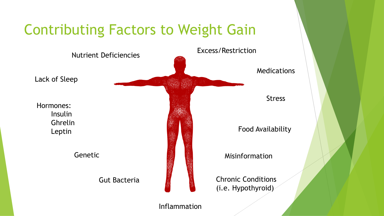#### Contributing Factors to Weight Gain



Inflammation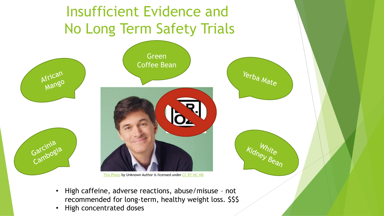# Insufficient Evidence and No Long Term Safety Trials Green Coffee Bean Yerba Mate African Garcinia<br>Garcinia [This Photo](http://sojournermarablegrimmett.blogspot.com/2011/09/getting-fit-with-dr-oz.html) by Unknown Author is licensed under [CC BY-NC-ND](https://creativecommons.org/licenses/by-nc-nd/3.0/)

• High caffeine, adverse reactions, abuse/misuse – not recommended for long-term, healthy weight loss. \$\$\$ Iney Bean

• High concentrated doses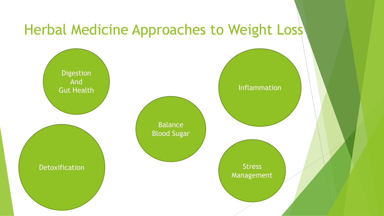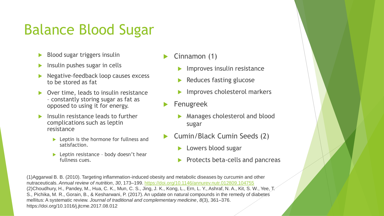#### Balance Blood Sugar

- Blood sugar triggers insulin
- $\blacktriangleright$  Insulin pushes sugar in cells
- **Negative-feedback loop causes excess** to be stored as fat
- Over time, leads to insulin resistance – constantly storing sugar as fat as opposed to using it for energy.
- Insulin resistance leads to further complications such as leptin resistance
	- **Leptin is the hormone for fullness and** satisfaction.
	- **Leptin resistance body doesn't hear** fullness cues.
- Cinnamon (1)
	- Improves insulin resistance
	- Reduces fasting glucose
	- Improves cholesterol markers
- Fenugreek
	- **Manages cholesterol and blood** sugar
- Cumin/Black Cumin Seeds (2)
	- **Lowers blood sugar**
	- $\blacktriangleright$  Protects beta-cells and pancreas

(1)Aggarwal B. B. (2010). Targeting inflammation-induced obesity and metabolic diseases by curcumin and other nutraceuticals. *Annual review of nutrition*, *30*, 173–199.<https://doi.org/10.1146/annurev.nutr.012809.104755> (2)Choudhury, H., Pandey, M., Hua, C. K., Mun, C. S., Jing, J. K., Kong, L., Ern, L. Y., Ashraf, N. A., Kit, S. W., Yee, T. S., Pichika, M. R., Gorain, B., & Kesharwani, P. (2017). An update on natural compounds in the remedy of diabetes mellitus: A systematic review. *Journal of traditional and complementary medicine*, *8*(3), 361–376. https://doi.org/10.1016/j.jtcme.2017.08.012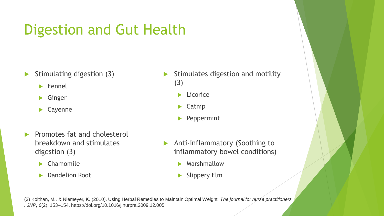## Digestion and Gut Health

- $\triangleright$  Stimulating digestion (3)
	- $\blacktriangleright$  Fennel
	- **S** Ginger
	- Cayenne
- Promotes fat and cholesterol breakdown and stimulates digestion (3)
	- Chamomile
	- **Dandelion Root**
- Stimulates digestion and motility (3)
	- $\blacktriangleright$  Licorice
	- $\blacktriangleright$  Catnip
	- Peppermint
- **Anti-inflammatory (Soothing to** inflammatory bowel conditions)
	- **Marshmallow**
	- Slippery Elm

(3) Koithan, M., & Niemeyer, K. (2010). Using Herbal Remedies to Maintain Optimal Weight. *The journal for nurse practitioners : JNP*, *6*(2), 153–154. https://doi.org/10.1016/j.nurpra.2009.12.005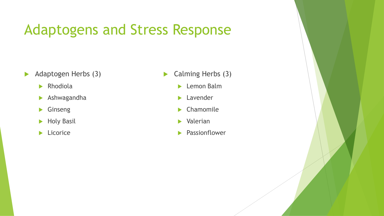#### Adaptogens and Stress Response

- Adaptogen Herbs (3)
	- $\blacktriangleright$  Rhodiola
	- Ashwagandha
	- **S** Ginseng
	- Holy Basil
	- **Licorice**
- Calming Herbs (3)
	- **Lemon Balm**
	- **Lavender**
	- Chamomile
	- Valerian
	- **Passionflower**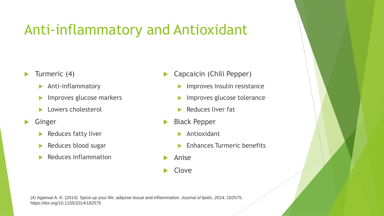## Anti-inflammatory and Antioxidant

- $\blacktriangleright$  Turmeric (4)
	- **Anti-inflammatory**
	- **IMPROVES glucose markers**
	- **Lowers cholesterol**
- **S**inger
	- Reduces fatty liver
	- Reduces blood sugar
	- $\blacktriangleright$  Reduces inflammation
- Capcaicin (Chili Pepper)
	- Improves insulin resistance
	- Improves glucose tolerance
	- $\blacktriangleright$  Reduces liver fat
- Black Pepper
	- **Antioxidant**
	- **Enhances Turmeric benefits**
- Anise
- Clove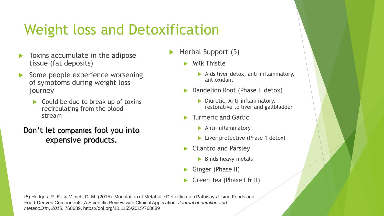## Weight loss and Detoxification

- Toxins accumulate in the adipose tissue (fat deposits)
- Some people experience worsening of symptoms during weight loss journey
	- $\triangleright$  Could be due to break up of toxins recirculating from the blood stream

Don't let companies fool you into expensive products.

- Herbal Support (5)
	- **Milk Thistle** 
		- $\blacktriangleright$  Aids liver detox, anti-inflammatory, antioxidant
	- Dandelion Root (Phase II detox)
		- Diuretic, Anti-inflammatory, restorative to liver and gallbladder
	- Turmeric and Garlic
		- **Anti-inflammatory**
		- **Liver protective (Phase 1 detox)**
	- Cilantro and Parsley
		- $\blacktriangleright$  Binds heavy metals
	- Ginger (Phase II)
	- Green Tea (Phase I & II)

(5) Hodges, R. E., & Minich, D. M. (2015). Modulation of Metabolic Detoxification Pathways Using Foods and Food-Derived Components: A Scientific Review with Clinical Application. *Journal of nutrition and metabolism*, *2015*, 760689. https://doi.org/10.1155/2015/760689